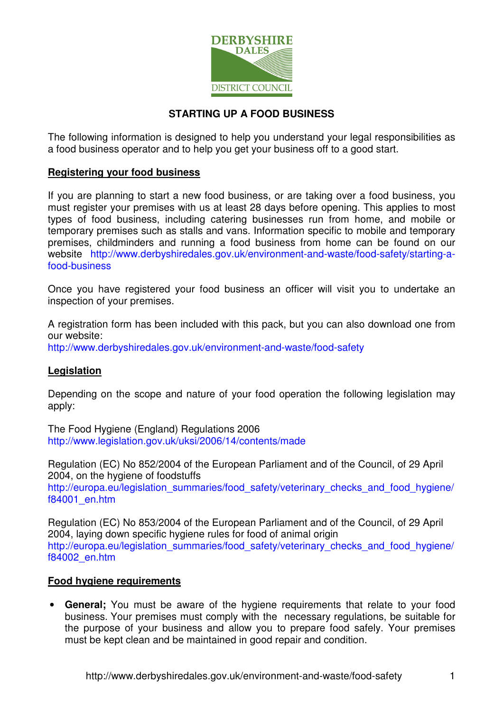

## **STARTING UP A FOOD BUSINESS**

The following information is designed to help you understand your legal responsibilities as a food business operator and to help you get your business off to a good start.

#### **Registering your food business**

If you are planning to start a new food business, or are taking over a food business, you must register your premises with us at least 28 days before opening. This applies to most types of food business, including catering businesses run from home, and mobile or temporary premises such as stalls and vans. Information specific to mobile and temporary premises, childminders and running a food business from home can be found on our website http://www.derbyshiredales.gov.uk/environment-and-waste/food-safety/starting-afood-business

Once you have registered your food business an officer will visit you to undertake an inspection of your premises.

A registration form has been included with this pack, but you can also download one from our website:

http://www.derbyshiredales.gov.uk/environment-and-waste/food-safety

## **Legislation**

Depending on the scope and nature of your food operation the following legislation may apply:

The Food Hygiene (England) Regulations 2006 http://www.legislation.gov.uk/uksi/2006/14/contents/made

Regulation (EC) No 852/2004 of the European Parliament and of the Council, of 29 April 2004, on the hygiene of foodstuffs http://europa.eu/legislation\_summaries/food\_safety/veterinary\_checks\_and\_food\_hygiene/ f84001\_en.htm

Regulation (EC) No 853/2004 of the European Parliament and of the Council, of 29 April 2004, laying down specific hygiene rules for food of animal origin http://europa.eu/legislation\_summaries/food\_safety/veterinary\_checks\_and\_food\_hygiene/ f84002\_en.htm

#### **Food hygiene requirements**

• **General;** You must be aware of the hygiene requirements that relate to your food business. Your premises must comply with the necessary regulations, be suitable for the purpose of your business and allow you to prepare food safely. Your premises must be kept clean and be maintained in good repair and condition.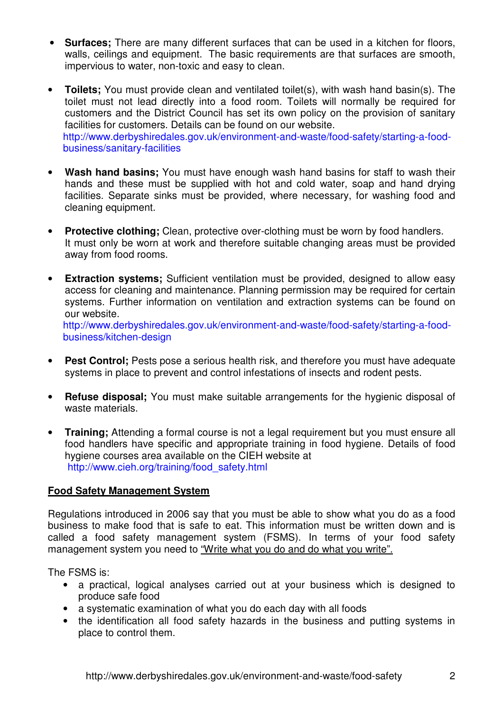- **Surfaces;** There are many different surfaces that can be used in a kitchen for floors, walls, ceilings and equipment. The basic requirements are that surfaces are smooth, impervious to water, non-toxic and easy to clean.
- **Toilets;** You must provide clean and ventilated toilet(s), with wash hand basin(s). The toilet must not lead directly into a food room. Toilets will normally be required for customers and the District Council has set its own policy on the provision of sanitary facilities for customers. Details can be found on our website. http://www.derbyshiredales.gov.uk/environment-and-waste/food-safety/starting-a-foodbusiness/sanitary-facilities
- **Wash hand basins;** You must have enough wash hand basins for staff to wash their hands and these must be supplied with hot and cold water, soap and hand drying facilities. Separate sinks must be provided, where necessary, for washing food and cleaning equipment.
- **Protective clothing;** Clean, protective over-clothing must be worn by food handlers. It must only be worn at work and therefore suitable changing areas must be provided away from food rooms.
- **Extraction systems;** Sufficient ventilation must be provided, designed to allow easy access for cleaning and maintenance. Planning permission may be required for certain systems. Further information on ventilation and extraction systems can be found on our website. http://www.derbyshiredales.gov.uk/environment-and-waste/food-safety/starting-a-foodbusiness/kitchen-design
- **Pest Control;** Pests pose a serious health risk, and therefore you must have adequate systems in place to prevent and control infestations of insects and rodent pests.
- **Refuse disposal;** You must make suitable arrangements for the hygienic disposal of waste materials.
- **Training;** Attending a formal course is not a legal requirement but you must ensure all food handlers have specific and appropriate training in food hygiene. Details of food hygiene courses area available on the CIEH website at http://www.cieh.org/training/food\_safety.html

#### **Food Safety Management System**

Regulations introduced in 2006 say that you must be able to show what you do as a food business to make food that is safe to eat. This information must be written down and is called a food safety management system (FSMS). In terms of your food safety management system you need to "Write what you do and do what you write".

The FSMS is:

- a practical, logical analyses carried out at your business which is designed to produce safe food
- a systematic examination of what you do each day with all foods
- the identification all food safety hazards in the business and putting systems in place to control them.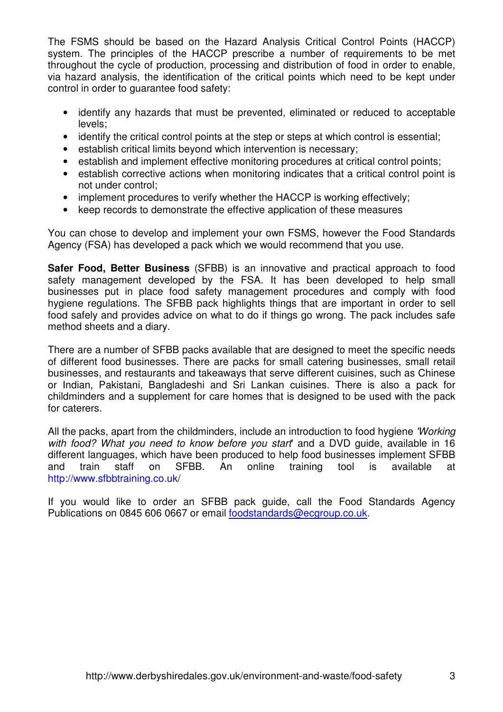The FSMS should be based on the Hazard Analysis Critical Control Points (HACCP) system. The principles of the HACCP prescribe a number of requirements to be met throughout the cycle of production, processing and distribution of food in order to enable, via hazard analysis, the identification of the critical points which need to be kept under control in order to guarantee food safety:

- identify any hazards that must be prevented, eliminated or reduced to acceptable levels;
- identify the critical control points at the step or steps at which control is essential;
- establish critical limits beyond which intervention is necessary:
- establish and implement effective monitoring procedures at critical control points;
- establish corrective actions when monitoring indicates that a critical control point is not under control;
- implement procedures to verify whether the HACCP is working effectively;
- keep records to demonstrate the effective application of these measures

You can chose to develop and implement your own FSMS, however the Food Standards Agency (FSA) has developed a pack which we would recommend that you use.

**Safer Food, Better Business** (SFBB) is an innovative and practical approach to food safety management developed by the FSA. It has been developed to help small businesses put in place food safety management procedures and comply with food hygiene regulations. The SFBB pack highlights things that are important in order to sell food safely and provides advice on what to do if things go wrong. The pack includes safe method sheets and a diary.

There are a number of SFBB packs available that are designed to meet the specific needs of different food businesses. There are packs for small catering businesses, small retail businesses, and restaurants and takeaways that serve different cuisines, such as Chinese or Indian, Pakistani, Bangladeshi and Sri Lankan cuisines. There is also a pack for childminders and a supplement for care homes that is designed to be used with the pack for caterers.

All the packs, apart from the childminders, include an introduction to food hygiene 'Working' with food? What you need to know before you start and a DVD quide, available in 16 different languages, which have been produced to help food businesses implement SFBB and train staff on SFBB. An online training tool is available at http://www.sfbbtraining.co.uk/

If you would like to order an SFBB pack guide, call the Food Standards Agency Publications on 0845 606 0667 or email foodstandards@ecgroup.co.uk.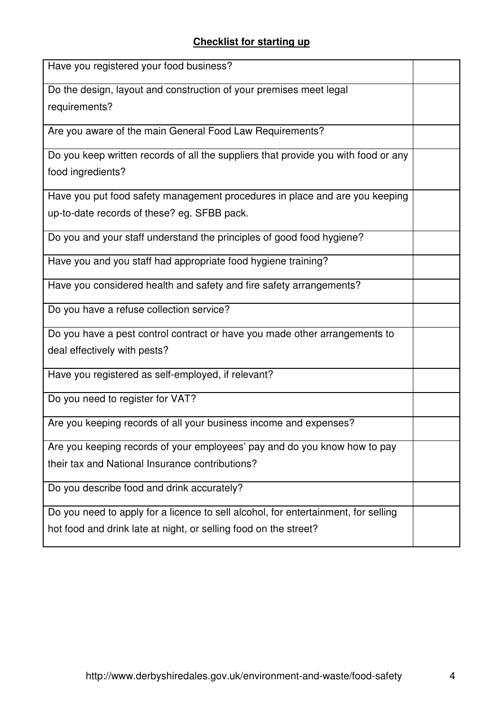# **Checklist for starting up**

| Have you registered your food business?                                            |  |
|------------------------------------------------------------------------------------|--|
| Do the design, layout and construction of your premises meet legal                 |  |
| requirements?                                                                      |  |
| Are you aware of the main General Food Law Requirements?                           |  |
| Do you keep written records of all the suppliers that provide you with food or any |  |
| food ingredients?                                                                  |  |
| Have you put food safety management procedures in place and are you keeping        |  |
| up-to-date records of these? eg. SFBB pack.                                        |  |
| Do you and your staff understand the principles of good food hygiene?              |  |
| Have you and you staff had appropriate food hygiene training?                      |  |
| Have you considered health and safety and fire safety arrangements?                |  |
| Do you have a refuse collection service?                                           |  |
| Do you have a pest control contract or have you made other arrangements to         |  |
| deal effectively with pests?                                                       |  |
| Have you registered as self-employed, if relevant?                                 |  |
| Do you need to register for VAT?                                                   |  |
| Are you keeping records of all your business income and expenses?                  |  |
| Are you keeping records of your employees' pay and do you know how to pay          |  |
| their tax and National Insurance contributions?                                    |  |
| Do you describe food and drink accurately?                                         |  |
| Do you need to apply for a licence to sell alcohol, for entertainment, for selling |  |
| hot food and drink late at night, or selling food on the street?                   |  |